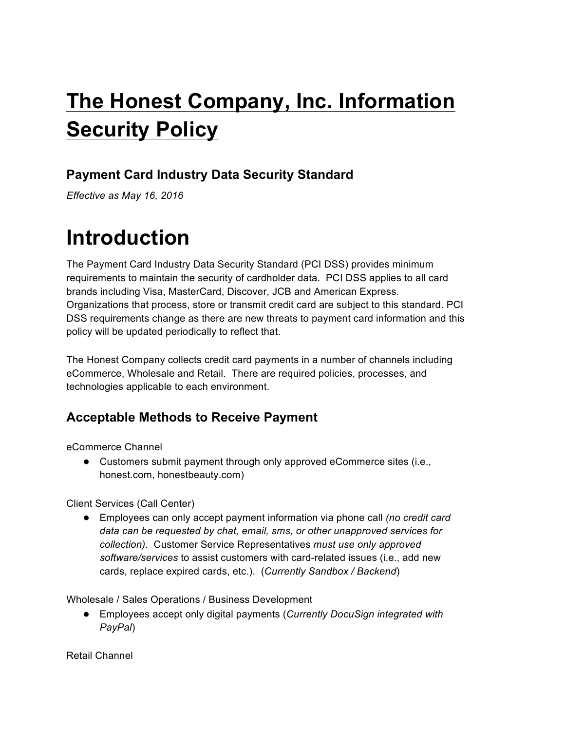# **The Honest Company, Inc. Information Security Policy**

### **Payment Card Industry Data Security Standard**

*Effective as May 16, 2016*

## **Introduction**

The Payment Card Industry Data Security Standard (PCI DSS) provides minimum requirements to maintain the security of cardholder data. PCI DSS applies to all card brands including Visa, MasterCard, Discover, JCB and American Express. Organizations that process, store or transmit credit card are subject to this standard. PCI DSS requirements change as there are new threats to payment card information and this policy will be updated periodically to reflect that.

The Honest Company collects credit card payments in a number of channels including eCommerce, Wholesale and Retail. There are required policies, processes, and technologies applicable to each environment.

#### **Acceptable Methods to Receive Payment**

eCommerce Channel

● Customers submit payment through only approved eCommerce sites (i.e., honest.com, honestbeauty.com)

Client Services (Call Center)

● Employees can only accept payment information via phone call *(no credit card data can be requested by chat, email, sms, or other unapproved services for collection)*. Customer Service Representatives *must use only approved software/services* to assist customers with card-related issues (i.e., add new cards, replace expired cards, etc.). (*Currently Sandbox / Backend*)

Wholesale / Sales Operations / Business Development

● Employees accept only digital payments (*Currently DocuSign integrated with PayPal*)

Retail Channel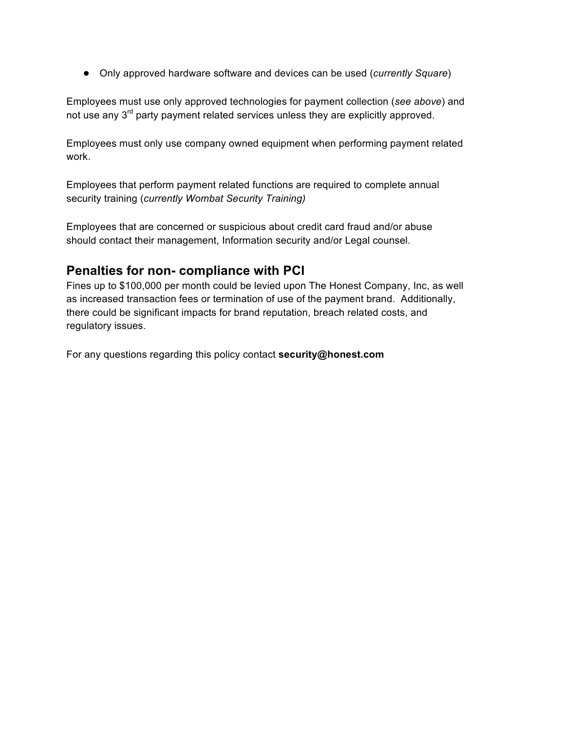● Only approved hardware software and devices can be used (*currently Square*)

Employees must use only approved technologies for payment collection (*see above*) and not use any 3<sup>rd</sup> party payment related services unless they are explicitly approved.

Employees must only use company owned equipment when performing payment related work.

Employees that perform payment related functions are required to complete annual security training (*currently Wombat Security Training)*

Employees that are concerned or suspicious about credit card fraud and/or abuse should contact their management, Information security and/or Legal counsel.

#### **Penalties for non- compliance with PCI**

Fines up to \$100,000 per month could be levied upon The Honest Company, Inc, as well as increased transaction fees or termination of use of the payment brand. Additionally, there could be significant impacts for brand reputation, breach related costs, and regulatory issues.

For any questions regarding this policy contact **security@honest.com**